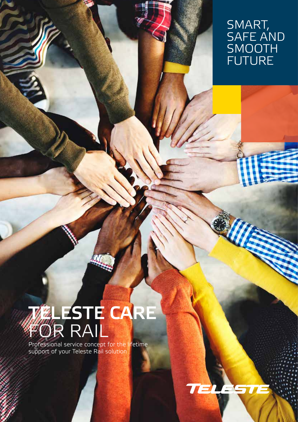### SMART, SAFE AND SMOOTH FUTURE

# **MELESTE CARE** FOR RAIL

Professional service concept for the lifetime support of your Teleste Rail solution

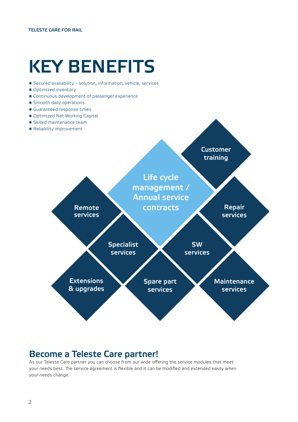## KEY BENEFITS

- Secured availability solution, information, vehicle, services
- Optimized inventory
- Continuous development of passenger experience
- Smooth daily operations
- Guaranteed response times
- Optimized Net Working Capital
- Skilled maintenance team
- Reliability improvement



### Become a Teleste Care partner!

As our Teleste Care partner you can choose from our wide offering the service modules that meet your needs best. The service agreement is flexible and it can be modified and extended easily when your needs change.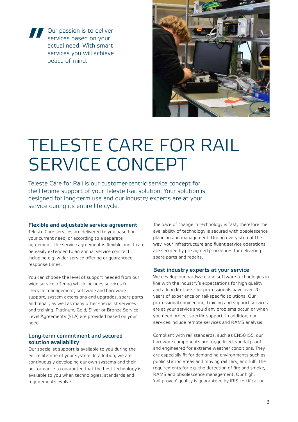**Solutify the Services based on your actual need. With smart services you will achieve peace of mind.** services based on your actual need. With smart services you will achieve peace of mind.



## TELESTE CARE FOR RAIL SERVICE CONCEPT

Teleste Care for Rail is our customer-centric service concept for the lifetime support of your Teleste Rail solution. Your solution is designed for long-term use and our industry experts are at your service during its entire life cycle.

#### Flexible and adjustable service agreement

Teleste Care services are delivered to you based on your current need, or according to a separate agreement. The service agreement is flexible and it can be easily extended to an annual service contract including e.g. wider service offering or guaranteed response times.

You can choose the level of support needed from our wide service offering which includes services for lifecycle management, software and hardware support, system extensions and upgrades, spare parts and repair, as well as many other specialist services and training. Platinum, Gold, Silver or Bronze Service Level Agreements (SLA) are provided based on your need.

#### Long-term commitment and secured solution availability

Our specialist support is available to you during the entire lifetime of your system. In addition, we are continuously developing our own systems and their performance to guarantee that the best technology is available to you when technologies, standards and requirements evolve.

The pace of change in technology is fast; therefore the availability of technology is secured with obsolescence planning and management. During every step of the way, your infrastructure and fluent service operations are secured by pre-agreed procedures for delivering spare parts and repairs.

#### Best industry experts at your service

We develop our hardware and software technologies in line with the industry's expectations for high quality and a long lifetime. Our professionals have over 20 years of experience on rail-specific solutions. Our professional engineering, training and support services are at your service should any problems occur, or when you need project-specific support. In addition, our services include remote services and RAMS analysis.

Compliant with rail standards, such as EN50155, our hardware components are ruggedized, vandal proof and engineered for extreme weather conditions. They are especially fit for demanding environments such as public station areas and moving rail cars, and fulfil the requirements for e.g. the detection of fire and smoke, RAMS and obsolescence management. Our high, 'rail-proven' quality is guaranteed by IRIS certification.